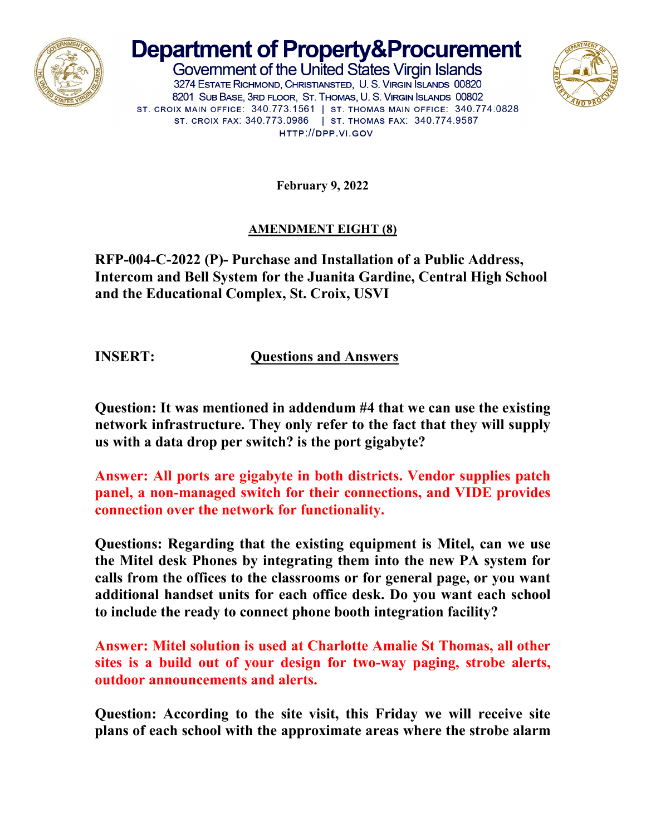

## **Department of Property&Procurement**

Government of the United States Virgin Islands 3274 ESTATE RICHMOND, CHRISTIANSTED, U. S. VIRGIN SLANDS 00820 8201 SUB BASE, 3RD FLOOR, ST. THOMAS, U. S. VIRGIN ISLANDS 00802 ST. CROIX MAIN OFFICE: 340.773.1561 | ST. THOMAS MAIN OFFICE: 340.774.0828 ST. CROIX FAX: 340.773.0986 | ST. THOMAS FAX: 340.774.9587 HTTP://DPP.VI.GOV



**February 9, 2022**

## **AMENDMENT EIGHT (8)**

**RFP-004-C-2022 (P)- Purchase and Installation of a Public Address, Intercom and Bell System for the Juanita Gardine, Central High School and the Educational Complex, St. Croix, USVI**

**INSERT: Questions and Answers**

**Question: It was mentioned in addendum #4 that we can use the existing network infrastructure. They only refer to the fact that they will supply us with a data drop per switch? is the port gigabyte?**

**Answer: All ports are gigabyte in both districts. Vendor supplies patch panel, a non-managed switch for their connections, and VIDE provides connection over the network for functionality.**

**Questions: Regarding that the existing equipment is Mitel, can we use the Mitel desk Phones by integrating them into the new PA system for calls from the offices to the classrooms or for general page, or you want additional handset units for each office desk. Do you want each school to include the ready to connect phone booth integration facility?**

**Answer: Mitel solution is used at Charlotte Amalie St Thomas, all other sites is a build out of your design for two-way paging, strobe alerts, outdoor announcements and alerts.**

**Question: According to the site visit, this Friday we will receive site plans of each school with the approximate areas where the strobe alarm**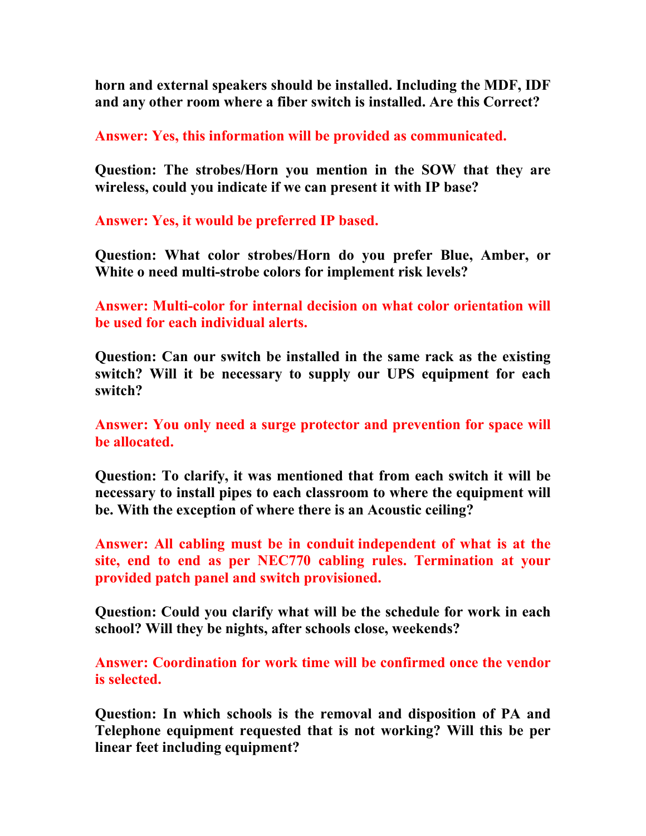**horn and external speakers should be installed. Including the MDF, IDF and any other room where a fiber switch is installed. Are this Correct?**

**Answer: Yes, this information will be provided as communicated.**

**Question: The strobes/Horn you mention in the SOW that they are wireless, could you indicate if we can present it with IP base?**

**Answer: Yes, it would be preferred IP based.**

**Question: What color strobes/Horn do you prefer Blue, Amber, or White o need multi-strobe colors for implement risk levels?**

**Answer: Multi-color for internal decision on what color orientation will be used for each individual alerts.**

**Question: Can our switch be installed in the same rack as the existing switch? Will it be necessary to supply our UPS equipment for each switch?**

**Answer: You only need a surge protector and prevention for space will be allocated.**

**Question: To clarify, it was mentioned that from each switch it will be necessary to install pipes to each classroom to where the equipment will be. With the exception of where there is an Acoustic ceiling?**

**Answer: All cabling must be in conduit independent of what is at the site, end to end as per NEC770 cabling rules. Termination at your provided patch panel and switch provisioned.**

**Question: Could you clarify what will be the schedule for work in each school? Will they be nights, after schools close, weekends?**

**Answer: Coordination for work time will be confirmed once the vendor is selected.**

**Question: In which schools is the removal and disposition of PA and Telephone equipment requested that is not working? Will this be per linear feet including equipment?**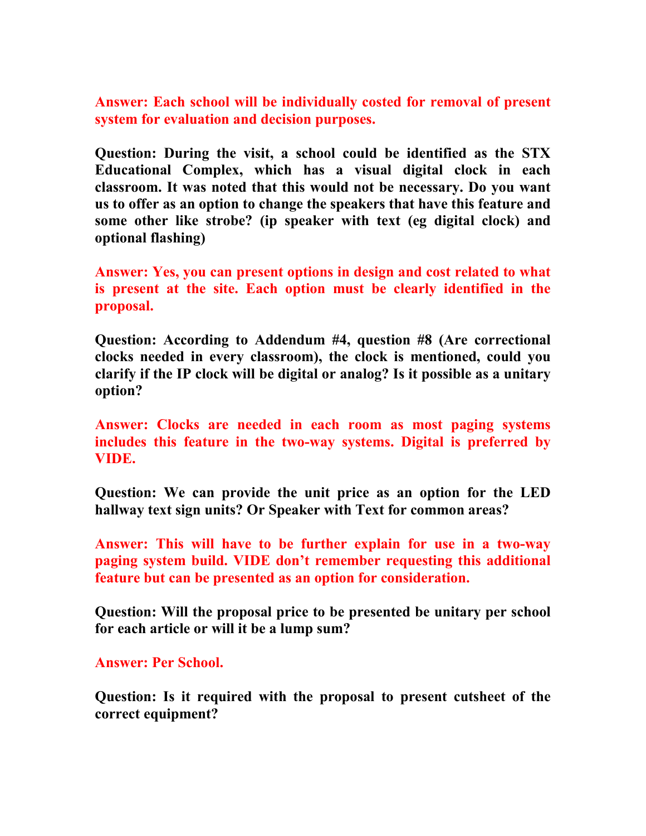**Answer: Each school will be individually costed for removal of present system for evaluation and decision purposes.**

**Question: During the visit, a school could be identified as the STX Educational Complex, which has a visual digital clock in each classroom. It was noted that this would not be necessary. Do you want us to offer as an option to change the speakers that have this feature and some other like strobe? (ip speaker with text (eg digital clock) and optional flashing)**

**Answer: Yes, you can present options in design and cost related to what is present at the site. Each option must be clearly identified in the proposal.**

**Question: According to Addendum #4, question #8 (Are correctional clocks needed in every classroom), the clock is mentioned, could you clarify if the IP clock will be digital or analog? Is it possible as a unitary option?**

**Answer: Clocks are needed in each room as most paging systems includes this feature in the two-way systems. Digital is preferred by VIDE.**

**Question: We can provide the unit price as an option for the LED hallway text sign units? Or Speaker with Text for common areas?**

**Answer: This will have to be further explain for use in a two-way paging system build. VIDE don't remember requesting this additional feature but can be presented as an option for consideration.**

**Question: Will the proposal price to be presented be unitary per school for each article or will it be a lump sum?**

**Answer: Per School.**

**Question: Is it required with the proposal to present cutsheet of the correct equipment?**